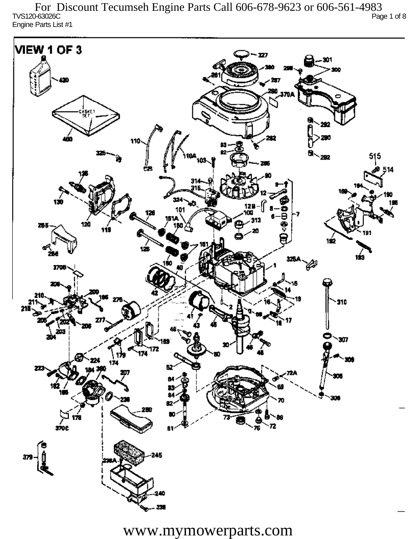TVS120-63026C Page 1 of 8 Engine Parts List #1 For Discount Tecumseh Engine Parts Call 606-678-9623 or 606-561-4983

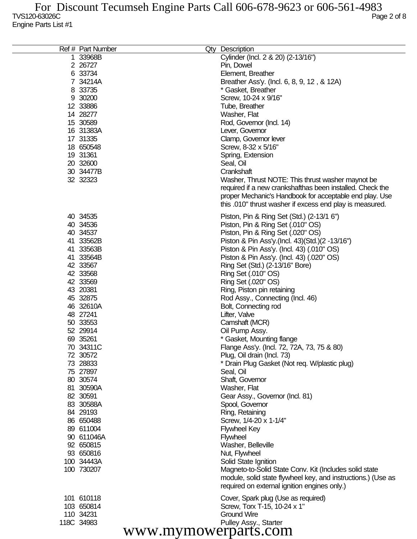| Ref # Part Number    | Qty Description                                              |
|----------------------|--------------------------------------------------------------|
| 1 33968B             | Cylinder (Incl. 2 & 20) (2-13/16")                           |
| 2 26727              |                                                              |
|                      | Pin, Dowel                                                   |
| 6 33734              | Element, Breather                                            |
| 7 34214A             | Breather Ass'y. (Incl. 6, 8, 9, 12, & 12A)                   |
| 8 33735              | * Gasket, Breather                                           |
| 9 30200              | Screw, 10-24 x 9/16"                                         |
| 12 33886             | Tube, Breather                                               |
| 14 28277             | Washer, Flat                                                 |
| 15 30589             | Rod, Governor (Incl. 14)                                     |
| 16 31383A            | Lever, Governor                                              |
| 17 31335             | Clamp, Governor lever                                        |
| 18 650548            | Screw, 8-32 x 5/16"                                          |
| 19 31361             | Spring, Extension                                            |
| 20 32600             | Seal, Oil                                                    |
| 30 34477B            | Crankshaft                                                   |
| 32 32323             | Washer, Thrust NOTE: This thrust washer maynot be            |
|                      | required if a new crankshafthas been installed. Check the    |
|                      | proper Mechanic's Handbook for acceptable end play. Use      |
|                      | this .010" thrust washer if excess end play is measured.     |
|                      |                                                              |
| 40 34535             | Piston, Pin & Ring Set (Std.) (2-13/1 6")                    |
| 40 34536             | Piston, Pin & Ring Set (.010" OS)                            |
| 40 34537             | Piston, Pin & Ring Set (.020" OS)                            |
| 41 33562B            | Piston & Pin Ass'y (Incl. 43) (Std.) (2 -13/16")             |
| 41 33563B            | Piston & Pin Ass'y. (Incl. 43) (.010" OS)                    |
| 41 33564B            | Piston & Pin Ass'y. (Incl. 43) (.020" OS)                    |
| 42 33567             | Ring Set (Std.) (2-13/16" Bore)                              |
| 42 33568             | Ring Set (.010" OS)                                          |
| 42 33569             | Ring Set (.020" OS)                                          |
| 43 20381             | Ring, Piston pin retaining                                   |
| 45 32875             | Rod Assy., Connecting (Incl. 46)                             |
| 46 32610A            | Bolt, Connecting rod                                         |
| 48 27241             | Lifter, Valve                                                |
| 50 33553             | Camshaft (MCR)                                               |
| 52 29914             | Oil Pump Assy.                                               |
| 69 35261             | * Gasket, Mounting flange                                    |
| 70 34311C            | Flange Ass'y. (Incl. 72, 72A, 73, 75 & 80)                   |
| 72 30572             | Plug, Oil drain (Incl. 73)                                   |
| 73 28833             | * Drain Plug Gasket (Not req. W/plastic plug)                |
| 75 27897             | Seal, Oil                                                    |
| 80 30574             | Shaft, Governor                                              |
| 81 30590A            | Washer, Flat                                                 |
| 82 30591             | Gear Assy., Governor (Incl. 81)                              |
| 83 30588A            | Spool, Governor                                              |
| 84 29193             | Ring, Retaining                                              |
| 86 650488            | Screw, 1/4-20 x 1-1/4"                                       |
| 89 611004            | <b>Flywheel Key</b>                                          |
| 90 611046A           | <b>Flywheel</b>                                              |
| 92 650815            | Washer, Belleville                                           |
| 93 650816            | Nut, Flywheel                                                |
| 100 34443A           | Solid State Ignition                                         |
| 100 730207           | Magneto-to-Solid State Conv. Kit (Includes solid state       |
|                      | module, solid state flywheel key, and instructions.) (Use as |
|                      | required on external ignition engines only.)                 |
| 101 610118           | Cover, Spark plug (Use as required)                          |
| 103 650814           | Screw, Torx T-15, 10-24 x 1"                                 |
| 110 34231            | <b>Ground Wire</b>                                           |
| 118C 34983           | Pulley Assy., Starter                                        |
| www.mymowerparts.com |                                                              |
|                      |                                                              |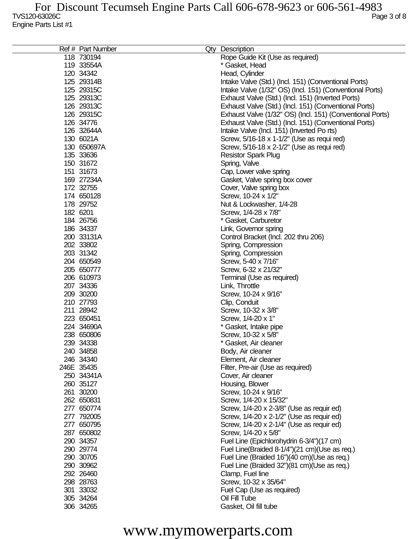| Ref # Part Number | Qty Description                                           |
|-------------------|-----------------------------------------------------------|
| 118 730194        | Rope Guide Kit (Use as required)                          |
| 119 33554A        | * Gasket, Head                                            |
| 120 34342         | Head, Cylinder                                            |
| 125 29314B        | Intake Valve (Std.) (Incl. 151) (Conventional Ports)      |
| 125 29315C        | Intake Valve (1/32" OS) (Incl. 151) (Conventional Ports)  |
| 125 29313C        | Exhaust Valve (Std.) (Incl. 151) (Inverted Ports)         |
| 126 29313C        | Exhaust Valve (Std.) (Incl. 151) (Conventional Ports)     |
| 126 29315C        | Exhaust Valve (1/32" OS) (Incl. 151) (Conventional Ports) |
| 126 34776         | Exhaust Valve (Std.) (Incl. 151) (Conventional Ports)     |
| 126 32644A        | Intake Valve (Incl. 151) (Inverted Po rts)                |
| 130 6021A         | Screw, 5/16-18 x 1-1/2" (Use as requi red)                |
| 130 650697A       | Screw, 5/16-18 x 2-1/2" (Use as requi red)                |
| 135 33636         |                                                           |
|                   | <b>Resistor Spark Plug</b>                                |
| 150 31672         | Spring, Valve                                             |
| 151 31673         | Cap, Lower valve spring                                   |
| 169 27234A        | Gasket, Valve spring box cover                            |
| 172 32755         | Cover, Valve spring box                                   |
| 174 650128        | Screw, 10-24 x 1/2"                                       |
| 178 29752         | Nut & Lockwasher, 1/4-28                                  |
| 182 6201          | Screw, 1/4-28 x 7/8"                                      |
| 184 26756         | * Gasket, Carburetor                                      |
| 186 34337         | Link, Governor spring                                     |
| 200 33131A        | Control Bracket (Incl. 202 thru 206)                      |
| 202 33802         | Spring, Compression                                       |
| 203 31342         | Spring, Compression                                       |
| 204 650549        | Screw, 5-40 x 7/16"                                       |
| 205 650777        | Screw, 6-32 x 21/32"                                      |
| 206 610973        | Terminal (Use as required)                                |
| 207 34336         | Link, Throttle                                            |
| 209 30200         | Screw, 10-24 x 9/16"                                      |
| 210 27793         | Clip, Conduit                                             |
| 211 28942         | Screw, 10-32 x 3/8"                                       |
| 223 650451        | Screw, 1/4-20 x 1"                                        |
| 224 34690A        | * Gasket, Intake pipe                                     |
| 238 650806        | Screw, 10-32 x 5/8"                                       |
| 239 34338         | * Gasket, Air cleaner                                     |
| 240 34858         | Body, Air cleaner                                         |
| 246 34340         | Element, Air cleaner                                      |
| 246E 35435        | Filter, Pre-air (Use as required)                         |
| 250 34341A        |                                                           |
| 260 35127         | Cover, Air cleaner                                        |
|                   | Housing, Blower                                           |
| 261 30200         | Screw, 10-24 x 9/16"                                      |
| 262 650831        | Screw, 1/4-20 x 15/32"                                    |
| 277 650774        | Screw, 1/4-20 x 2-3/8" (Use as requir ed)                 |
| 277 792005        | Screw, 1/4-20 x 2-1/2" (Use as requir ed)                 |
| 277 650795        | Screw, 1/4-20 x 2-1/4" (Use as requir ed)                 |
| 287 650802        | Screw, 1/4-20 x 5/8"                                      |
| 290 34357         | Fuel Line (Epichlorohydrin 6-3/4")(17 cm)                 |
| 290 29774         | Fuel Line(Braided 8-1/4")(21 cm)(Use as req.)             |
| 290 30705         | Fuel Line (Braided 16")(40 cm)(Use as req.)               |
| 290 30962         | Fuel Line (Braided 32")(81 cm)(Use as req.)               |
| 292 26460         | Clamp, Fuel line                                          |
| 298 28763         | Screw, 10-32 x 35/64"                                     |
| 301 33032         | Fuel Cap (Use as required)                                |
| 305 34264         | Oil Fill Tube                                             |
| 306 34265         | Gasket, Oil fill tube                                     |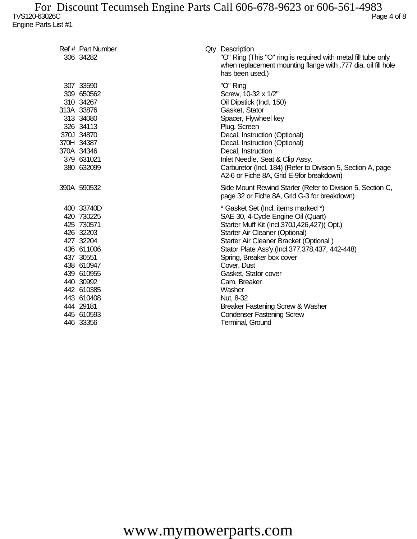| Ref # Part Number                                                                                                                                                                                        | Qty Description                                                                                                                                                                                                                                                                                                                                                                                                                                              |
|----------------------------------------------------------------------------------------------------------------------------------------------------------------------------------------------------------|--------------------------------------------------------------------------------------------------------------------------------------------------------------------------------------------------------------------------------------------------------------------------------------------------------------------------------------------------------------------------------------------------------------------------------------------------------------|
| 306 34282                                                                                                                                                                                                | "O" Ring (This "O" ring is required with metal fill tube only<br>when replacement mounting flange with .777 dia. oil fill hole<br>has been used.)                                                                                                                                                                                                                                                                                                            |
| 307 33590<br>309 650562<br>310 34267<br>313A 33876<br>313 34080<br>326 34113<br>370J 34870<br>370H 34387<br>370A 34346<br>379 631021<br>380 632099                                                       | "O" Ring<br>Screw, 10-32 x 1/2"<br>Oil Dipstick (Incl. 150)<br>Gasket, Stator<br>Spacer, Flywheel key<br>Plug, Screen<br>Decal, Instruction (Optional)<br>Decal, Instruction (Optional)<br>Decal, Instruction<br>Inlet Needle, Seat & Clip Assy.<br>Carburetor (Incl. 184) (Refer to Division 5, Section A, page<br>A2-6 or Fiche 8A, Grid E-9for breakdown)                                                                                                 |
| 390A 590532                                                                                                                                                                                              | Side Mount Rewind Starter (Refer to Division 5, Section C,<br>page 32 or Fiche 8A, Grid G-3 for breakdown)                                                                                                                                                                                                                                                                                                                                                   |
| 400 33740D<br>420 730225<br>425 730571<br>426 32203<br>427 32204<br>436 611006<br>437 30551<br>438 610947<br>439 610955<br>440 30992<br>442 610385<br>443 610408<br>444 29181<br>445 610593<br>446 33356 | * Gasket Set (Incl. items marked *)<br>SAE 30, 4-Cycle Engine Oil (Quart)<br>Starter Muff Kit (Incl.370J,426,427)(Opt.)<br>Starter Air Cleaner (Optional)<br>Starter Air Cleaner Bracket (Optional)<br>Stator Plate Ass'y.(Incl.377,378,437, 442-448)<br>Spring, Breaker box cover<br>Cover, Dust<br>Gasket, Stator cover<br>Cam, Breaker<br>Washer<br>Nut, 8-32<br>Breaker Fastening Screw & Washer<br><b>Condenser Fastening Screw</b><br>Terminal, Ground |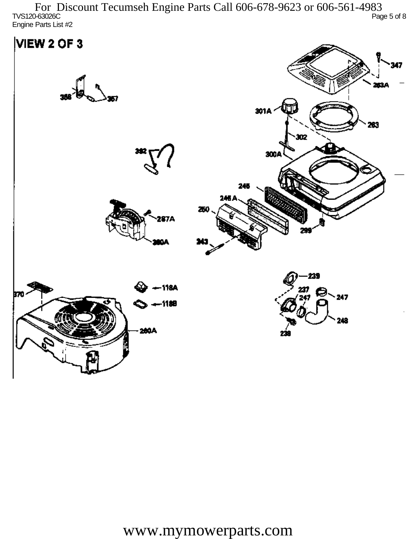TVS120-63026C Page 5 of 8 Engine Parts List #2 For Discount Tecumseh Engine Parts Call 606-678-9623 or 606-561-4983

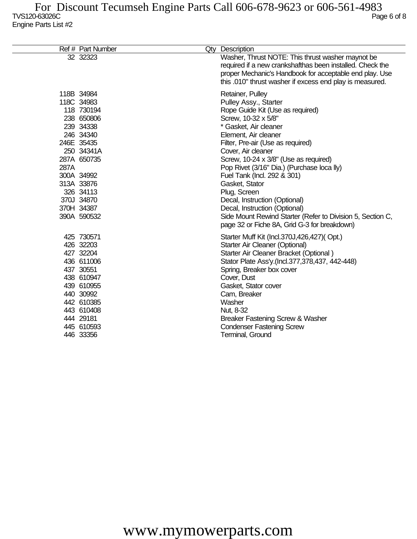|      | Ref # Part Number                                                                                                                                                                                             | Qty Description                                                                                                                                                                                                                                                                                                                                                                                                                                                                                                                                          |
|------|---------------------------------------------------------------------------------------------------------------------------------------------------------------------------------------------------------------|----------------------------------------------------------------------------------------------------------------------------------------------------------------------------------------------------------------------------------------------------------------------------------------------------------------------------------------------------------------------------------------------------------------------------------------------------------------------------------------------------------------------------------------------------------|
|      | 32 32323                                                                                                                                                                                                      | Washer, Thrust NOTE: This thrust washer maynot be<br>required if a new crankshafthas been installed. Check the<br>proper Mechanic's Handbook for acceptable end play. Use<br>this .010" thrust washer if excess end play is measured.                                                                                                                                                                                                                                                                                                                    |
| 287A | 118B 34984<br>118C 34983<br>118 730194<br>238 650806<br>239 34338<br>246 34340<br>246E 35435<br>250 34341A<br>287A 650735<br>300A 34992<br>313A 33876<br>326 34113<br>370J 34870<br>370H 34387<br>390A 590532 | Retainer, Pulley<br>Pulley Assy., Starter<br>Rope Guide Kit (Use as required)<br>Screw, 10-32 x 5/8"<br>* Gasket, Air cleaner<br>Element, Air cleaner<br>Filter, Pre-air (Use as required)<br>Cover, Air cleaner<br>Screw, 10-24 x 3/8" (Use as required)<br>Pop Rivet (3/16" Dia.) (Purchase loca lly)<br>Fuel Tank (Incl. 292 & 301)<br>Gasket, Stator<br>Plug, Screen<br>Decal, Instruction (Optional)<br>Decal, Instruction (Optional)<br>Side Mount Rewind Starter (Refer to Division 5, Section C,<br>page 32 or Fiche 8A, Grid G-3 for breakdown) |
|      | 425 730571<br>426 32203<br>427 32204<br>436 611006<br>437 30551<br>438 610947<br>439 610955<br>440 30992<br>442 610385<br>443 610408<br>444 29181<br>445 610593<br>446 33356                                  | Starter Muff Kit (Incl.370J,426,427)(Opt.)<br>Starter Air Cleaner (Optional)<br>Starter Air Cleaner Bracket (Optional)<br>Stator Plate Ass'y.(Incl.377,378,437, 442-448)<br>Spring, Breaker box cover<br>Cover, Dust<br>Gasket, Stator cover<br>Cam, Breaker<br>Washer<br>Nut, 8-32<br>Breaker Fastening Screw & Washer<br><b>Condenser Fastening Screw</b><br>Terminal, Ground                                                                                                                                                                          |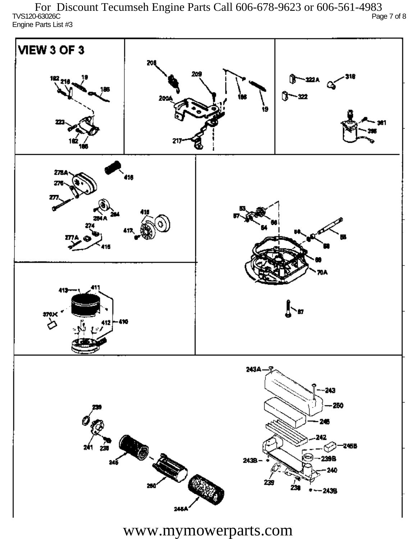TVS120-63026C Page 7 of 8 Engine Parts List #3 For Discount Tecumseh Engine Parts Call 606-678-9623 or 606-561-4983